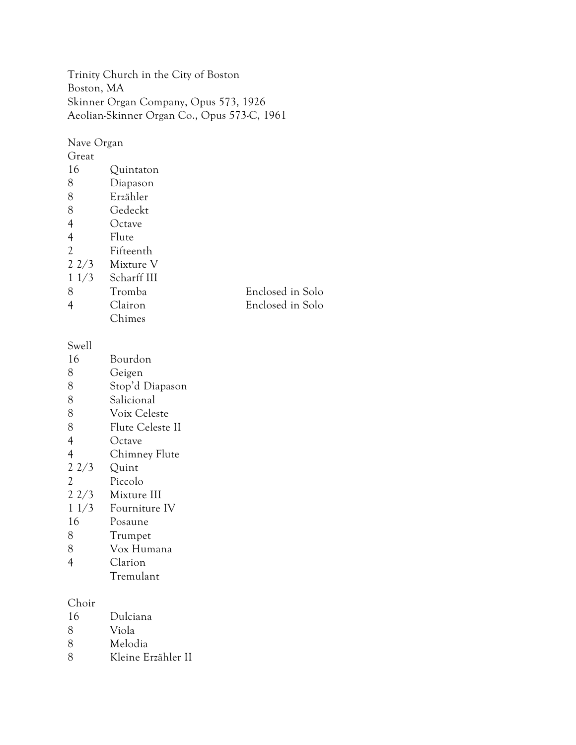Trinity Church in the City of Boston Boston, MA Skinner Organ Company, Opus 573, 1926 Aeolian-Skinner Organ Co., Opus 573-C, 1961

Nave Organ Great Quintaton Diapason Erzähler Gedeckt Octave Flute Fifteenth 2 2/3 Mixture V 1 1/3 Scharff III Tromba Enclosed in Solo Clairon Enclosed in Solo Chimes

Swell

- Bourdon
- Geigen
- Stop'd Diapason
- Salicional
- Voix Celeste
- Flute Celeste II
- Octave
- 4 Chimney Flute<br>2 2/3 Quint
- Quint
- Piccolo
- 2 2/3 Mixture III
- 1 1/3 Fourniture IV
- Posaune
- Trumpet
- Vox Humana
- Clarion
	- Tremulant

Choir

- Dulciana
- Viola
- Melodia
- Kleine Erzähler II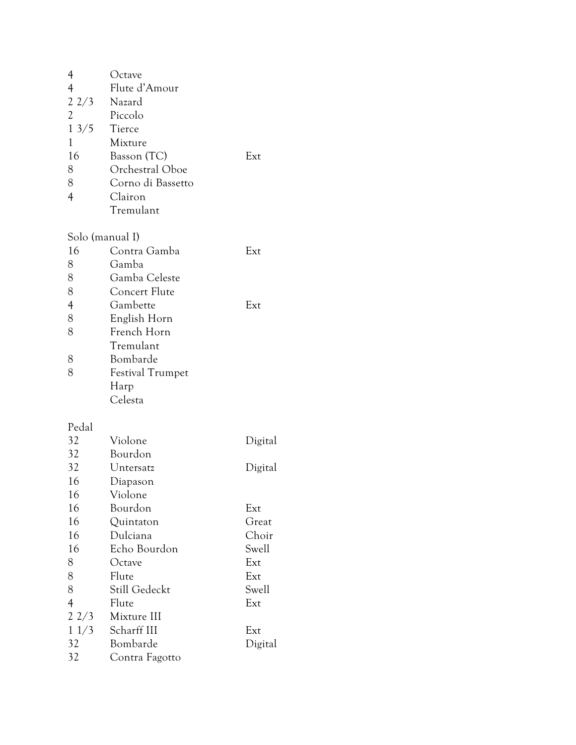| 4               | Octave                  |         |
|-----------------|-------------------------|---------|
| $\overline{4}$  | Flute d'Amour           |         |
| 22/3            | Nazard                  |         |
| $\overline{c}$  | Piccolo                 |         |
| 13/5            | Tierce                  |         |
| 1               | Mixture                 |         |
| 16              | Basson (TC)             | Ext     |
| 8               | Orchestral Oboe         |         |
| 8               | Corno di Bassetto       |         |
| $\overline{4}$  | Clairon                 |         |
|                 | Tremulant               |         |
| Solo (manual I) |                         |         |
| 16              | Contra Gamba            | Ext     |
| 8               | Gamba                   |         |
| 8               | Gamba Celeste           |         |
| 8               | Concert Flute           |         |
| $\overline{4}$  | Gambette                | Ext     |
| 8               | English Horn            |         |
| 8               | French Horn             |         |
|                 | Tremulant               |         |
| 8               | Bombarde                |         |
| 8               | <b>Festival Trumpet</b> |         |
|                 | Harp                    |         |
|                 | Celesta                 |         |
| Pedal           |                         |         |
| 32              | Violone                 | Digital |
| 32              | Bourdon                 |         |
| 32              | Untersatz               | Digital |
| 16              | Diapason                |         |
| 16              | Violone                 |         |
| 16              | Bourdon                 | Ext     |
| 16              | Quintaton               | Great   |
| 16              | Dulciana                | Choir   |
| 16              | Echo Bourdon            | Swell   |
| 8               | Octave                  | Ext     |
| 8               | Flute                   | Ext     |
| 8               | Still Gedeckt           | Swell   |
| $\overline{4}$  | Flute                   | Ext     |
| 22/3            | Mixture III             |         |
| 11/3            | Scharff III             | Ext     |

| 32             | Bourdon        |         |
|----------------|----------------|---------|
| 32             | Untersatz      | Digital |
| 16             | Diapason       |         |
| 16             | Violone        |         |
| 16             | Bourdon        | Ext     |
| 16             | Quintaton      | Great   |
| 16             | Dulciana       | Choir   |
| 16             | Echo Bourdon   | Swell   |
| 8              | Octave         | Ext     |
| 8              | Flute          | Ext     |
| 8              | Still Gedeckt  | Swell   |
| $\overline{4}$ | Flute          | Ext     |
| $2\frac{2}{3}$ | Mixture III    |         |
| 11/3           | Scharff III    | Ext     |
| 32             | Bombarde       | Digital |
| 32             | Contra Fagotto |         |
|                |                |         |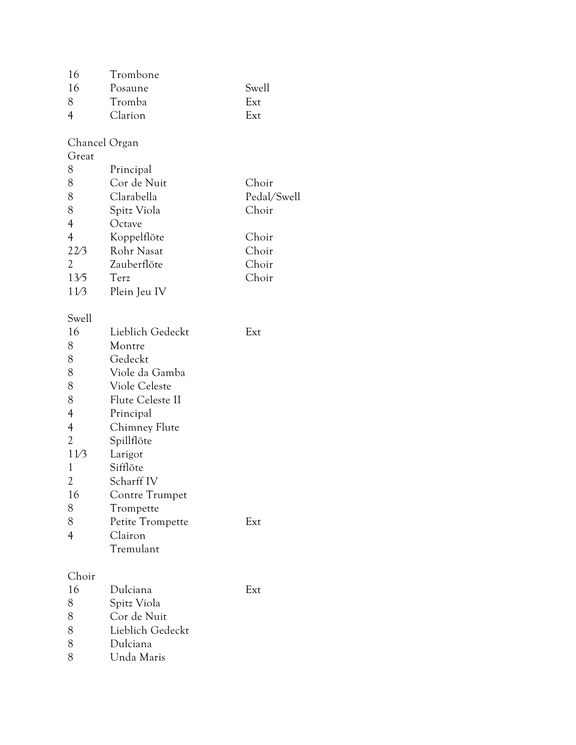| 16 | Trombone |       |
|----|----------|-------|
| 16 | Posaune  | Swell |
|    | Tromba   | Ext   |
|    | Clarion  | Ext   |
|    |          |       |

## Chancel Organ

| Great          |              |             |
|----------------|--------------|-------------|
| 8              | Principal    |             |
| 8              | Cor de Nuit  | Choir       |
| 8              | Clarabella   | Pedal/Swell |
| 8              | Spitz Viola  | Choir       |
| 4              | Octave       |             |
| $\overline{4}$ | Koppelflöte  | Choir       |
| 22/3           | Rohr Nasat   | Choir       |
| 2              | Zauberflöte  | Choir       |
| 13/5           | Terz         | Choir       |
| 11/3           | Plein Jeu IV |             |

## Swell

| 16             | Lieblich Gedeckt         | Ext |
|----------------|--------------------------|-----|
| 8              | Montre                   |     |
| 8              | Gedeckt                  |     |
| 8              | Viole da Gamba           |     |
| 8              | Viole Celeste            |     |
| 8              | Flute Celeste II         |     |
| $\overline{4}$ | Principal                |     |
| $\overline{4}$ | Chimney Flute            |     |
| 2              | Spillflöte               |     |
| 11/3           | Larigot                  |     |
| 1              | Sifflöte                 |     |
| $\overline{2}$ | Scharff IV               |     |
| 16             | Contre Trumpet           |     |
| 8              | Trompette                |     |
| 8              | Petite Trompette         | Ext |
| 4              | Clairon                  |     |
|                | Tremulant                |     |
| Choir          |                          |     |
| 16             | Dulciana                 | Ext |
| 8              | Spitz Viola              |     |
| $\circ$        | $C_{\text{out}}$ de Matt |     |

| 8 | Cor de Nuit      |  |
|---|------------------|--|
| 8 | Lieblich Gedeckt |  |
|   | Dulciana         |  |

8 Dulciana<br>8 Unda Ma Unda Maris